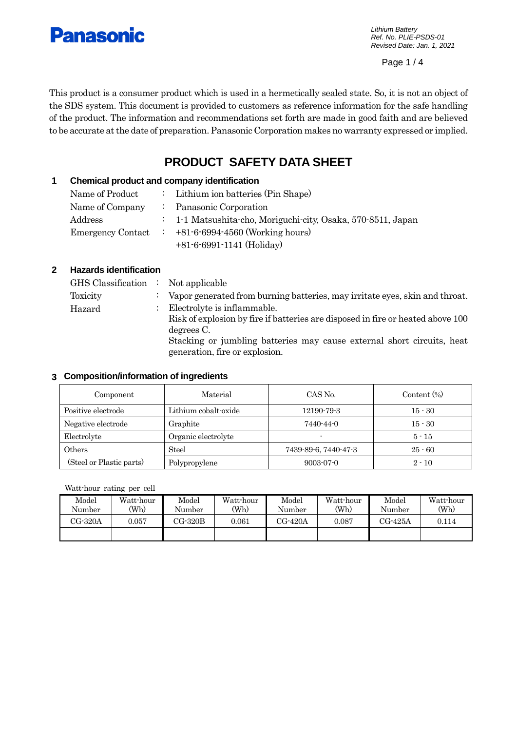

*Lithium Battery Ref. No. PLIE-PSDS-01 Revised Date: Jan. 1, 2021*

Page 1 / 4

This product is a consumer product which is used in a hermetically sealed state. So, it is not an object of the SDS system. This document is provided to customers as reference information for the safe handling of the product. The information and recommendations set forth are made in good faith and are believed to be accurate at the date of preparation. Panasonic Corporation makes no warranty expressed or implied.

# **PRODUCT SAFETY DATA SHEET**

# **1 Chemical product and company identification**

| Name of Product          | : Lithium ion batteries (Pin Shape)                          |
|--------------------------|--------------------------------------------------------------|
| Name of Company          | : Panasonic Corporation                                      |
| Address                  | : 1-1 Matsushita-cho, Moriguchi-city, Osaka, 570-8511, Japan |
| <b>Emergency Contact</b> | $+81-6-6994-4560$ (Working hours)                            |
|                          | $+81-6-6991-1141$ (Holiday)                                  |

## **2 Hazards identification**

| $\text{GHS}$ Classification : Not applicable |                                                                                          |
|----------------------------------------------|------------------------------------------------------------------------------------------|
| Toxicity                                     | $\therefore$ Vapor generated from burning batteries, may irritate eyes, skin and throat. |
| Hazard                                       | Electrolyte is inflammable.                                                              |
|                                              | Risk of explosion by fire if batteries are disposed in fire or heated above 100          |
|                                              | degrees C.                                                                               |
|                                              | Stacking or jumbling batteries may cause external short circuits, heat                   |
|                                              | generation, fire or explosion.                                                           |

## **3 Composition/information of ingredients**

| Component                | Material             | CAS No.              | Content $(\%)$ |
|--------------------------|----------------------|----------------------|----------------|
| Positive electrode       | Lithium cobalt-oxide | 12190-79-3           | $15 - 30$      |
| Negative electrode       | Graphite             | 7440-44-0            | $15 - 30$      |
| Electrolyte              | Organic electrolyte  | ۰                    | $5 - 15$       |
| Others                   | Steel                | 7439-89-6, 7440-47-3 | $25 - 60$      |
| (Steel or Plastic parts) | Polypropylene        | $9003 - 07 - 0$      | $2 - 10$       |

## Watt-hour rating per cell

| Model<br>Number | Watt-hour<br>'Wh) | Model<br>Number | Watt-hour<br>(Wh) | $\rm Model$<br>Number | Watt-hour<br>(Wh) | Model<br>Number | Watt-hour<br>(W <sub>h</sub> ) |
|-----------------|-------------------|-----------------|-------------------|-----------------------|-------------------|-----------------|--------------------------------|
| $CG-320A$       | 0.057             | CG-320B         | 0.061             | $CG-420A$             | 0.087             | CG-425A         | 0.114                          |
|                 |                   |                 |                   |                       |                   |                 |                                |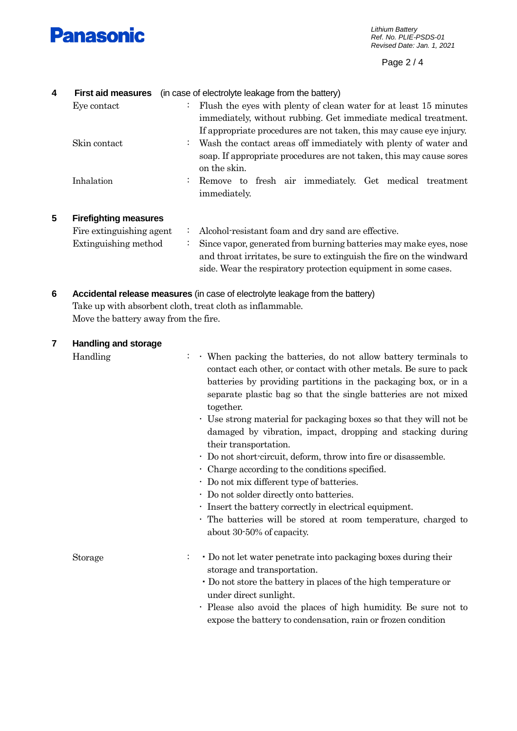

Page 2 / 4

| 4 | <b>First aid measures</b>    | (in case of electrolyte leakage from the battery)                                                                                                                                                                             |
|---|------------------------------|-------------------------------------------------------------------------------------------------------------------------------------------------------------------------------------------------------------------------------|
|   | Eye contact                  | Flush the eyes with plenty of clean water for at least 15 minutes<br>$\ddot{\cdot}$<br>immediately, without rubbing. Get immediate medical treatment.<br>If appropriate procedures are not taken, this may cause eye injury.  |
|   | Skin contact                 | Wash the contact areas off immediately with plenty of water and<br>÷<br>soap. If appropriate procedures are not taken, this may cause sores<br>on the skin.                                                                   |
|   | Inhalation                   | Remove to fresh air immediately. Get medical<br>:<br>treatment<br>immediately.                                                                                                                                                |
| 5 | <b>Firefighting measures</b> |                                                                                                                                                                                                                               |
|   | Fire extinguishing agent     | Alcohol-resistant foam and dry sand are effective.<br>$\ddot{\cdot}$                                                                                                                                                          |
|   | Extinguishing method         | Since vapor, generated from burning batteries may make eyes, nose<br>$\ddot{\cdot}$<br>and throat irritates, be sure to extinguish the fire on the windward<br>side. Wear the respiratory protection equipment in some cases. |
| 6 |                              | Accidental release measures (in case of electrolyte leakage from the battery)<br>Take up with absorbent cloth, treat cloth as inflammable.                                                                                    |

Move the battery away from the fire.

| 7 | <b>Handling and storage</b> |                                                                                                                                                                                                                                                                                                                                                               |
|---|-----------------------------|---------------------------------------------------------------------------------------------------------------------------------------------------------------------------------------------------------------------------------------------------------------------------------------------------------------------------------------------------------------|
|   | Handling                    | . When packing the batteries, do not allow battery terminals to<br>contact each other, or contact with other metals. Be sure to pack<br>batteries by providing partitions in the packaging box, or in a<br>separate plastic bag so that the single batteries are not mixed<br>together.<br>. Use strong material for packaging boxes so that they will not be |
|   |                             | damaged by vibration, impact, dropping and stacking during<br>their transportation.                                                                                                                                                                                                                                                                           |
|   |                             | · Do not short-circuit, deform, throw into fire or disassemble.                                                                                                                                                                                                                                                                                               |
|   |                             | $\cdot$ Charge according to the conditions specified.                                                                                                                                                                                                                                                                                                         |
|   |                             | $\cdot$ Do not mix different type of batteries.                                                                                                                                                                                                                                                                                                               |
|   |                             | · Do not solder directly onto batteries.                                                                                                                                                                                                                                                                                                                      |
|   |                             | · Insert the battery correctly in electrical equipment.                                                                                                                                                                                                                                                                                                       |
|   |                             | . The batteries will be stored at room temperature, charged to<br>about 30-50% of capacity.                                                                                                                                                                                                                                                                   |
|   | <b>Storage</b>              | • Do not let water penetrate into packaging boxes during their<br>storage and transportation.                                                                                                                                                                                                                                                                 |
|   |                             | • Do not store the battery in places of the high temperature or<br>under direct sunlight.                                                                                                                                                                                                                                                                     |
|   |                             | Please also avoid the places of high humidity. Be sure not to<br>٠<br>expose the battery to condensation, rain or frozen condition                                                                                                                                                                                                                            |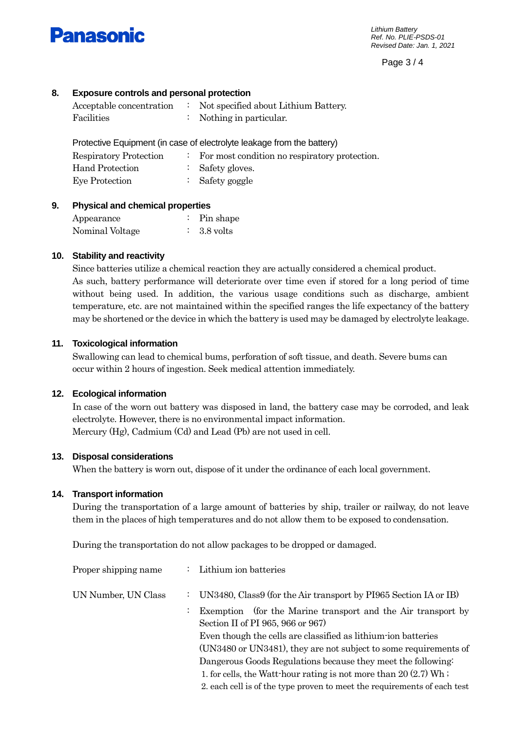

Page 3 / 4

# **8. Exposure controls and personal protection**

| Acceptable concentration | Not specified about Lithium Battery. |
|--------------------------|--------------------------------------|
| Facilities               | Nothing in particular.               |

Protective Equipment (in case of electrolyte leakage from the battery)

| <b>Respiratory Protection</b> | For most condition no respiratory protection. |
|-------------------------------|-----------------------------------------------|
| Hand Protection               | $\therefore$ Safety gloves.                   |
| Eye Protection                | : Safety goggle                               |

## **9. Physical and chemical properties**

| Appearance      | Pin shape |
|-----------------|-----------|
| Nominal Voltage | 3.8 volts |

## **10. Stability and reactivity**

Since batteries utilize a chemical reaction they are actually considered a chemical product. As such, battery performance will deteriorate over time even if stored for a long period of time without being used. In addition, the various usage conditions such as discharge, ambient temperature, etc. are not maintained within the specified ranges the life expectancy of the battery may be shortened or the device in which the battery is used may be damaged by electrolyte leakage.

## **11. Toxicological information**

Swallowing can lead to chemical bums, perforation of soft tissue, and death. Severe bums can occur within 2 hours of ingestion. Seek medical attention immediately.

## **12. Ecological information**

In case of the worn out battery was disposed in land, the battery case may be corroded, and leak electrolyte. However, there is no environmental impact information. Mercury (Hg), Cadmium (Cd) and Lead (Pb) are not used in cell.

## **13. Disposal considerations**

When the battery is worn out, dispose of it under the ordinance of each local government.

## **14. Transport information**

During the transportation of a large amount of batteries by ship, trailer or railway, do not leave them in the places of high temperatures and do not allow them to be exposed to condensation.

During the transportation do not allow packages to be dropped or damaged.

| Proper shipping name |    | : Lithium ion batteries                                                                                                                       |
|----------------------|----|-----------------------------------------------------------------------------------------------------------------------------------------------|
| UN Number, UN Class  |    | UN3480, Class9 (for the Air transport by PI965 Section IA or IB)                                                                              |
|                      | ÷. | Exemption (for the Marine transport and the Air transport by<br>Section II of PI 965, 966 or 967)                                             |
|                      |    | Even though the cells are classified as lithium ion batteries                                                                                 |
|                      |    | (UN3480 or UN3481), they are not subject to some requirements of<br>Dangerous Goods Regulations because they meet the following.              |
|                      |    | 1. for cells, the Watt-hour rating is not more than $20(2.7)$ Wh;<br>2. each cell is of the type proven to meet the requirements of each test |